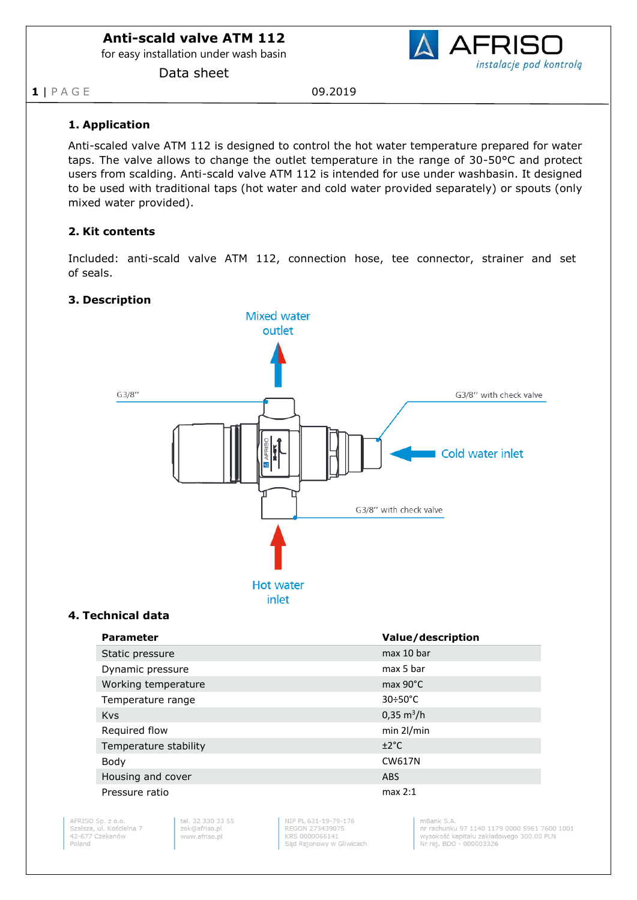for easy installation under wash basin

Data sheet

**AFRIS** instalacje pod kontrolą

**1** | P A G E 09.2019

## **1. Application**

Anti-scaled valve ATM 112 is designed to control the hot water temperature prepared for water taps. The valve allows to change the outlet temperature in the range of 30-50°C and protect users from scalding. Anti-scald valve ATM 112 is intended for use under washbasin. It designed to be used with traditional taps (hot water and cold water provided separately) or spouts (only mixed water provided).

## **2. Kit contents**

Included: anti-scald valve ATM 112, connection hose, tee connector, strainer and set of seals.

## **3. Description**



## **4. Technical data**

| <b>Parameter</b>      | Value/description           |
|-----------------------|-----------------------------|
| Static pressure       | max 10 bar                  |
| Dynamic pressure      | max 5 bar                   |
| Working temperature   | $max 90^{\circ}$ C          |
| Temperature range     | $30 \div 50^{\circ}$ C      |
| <b>Kvs</b>            | $0,35 \text{ m}^3/\text{h}$ |
| Required flow         | $min$ 2l/min                |
| Temperature stability | ±2°C                        |
| Body                  | <b>CW617N</b>               |
| Housing and cover     | <b>ABS</b>                  |
| Pressure ratio        | max 2:1                     |

AFRISO Sp. z o.o.<br>Szałsza, ul. Kościelna 7 42-677 Czekanów Poland

tel 32 330 33 55 zok@afriso.pl www.afriso.pl

NIP PL 631-19-79-176 REGON 273439075 KRS 0000066141 Sąd Rejonowy w Gliwicach

 $mRank \subseteq \Delta$ nr rachunku 97 1140 1179 0000 5961 7600 1001 wysokość kapitału zakładowego 300.00 PLN<br>Nr rej. BDO - 000003326